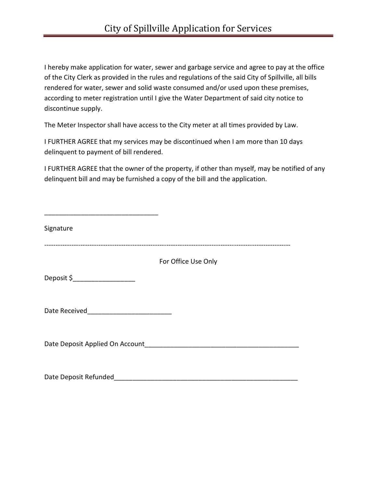I hereby make application for water, sewer and garbage service and agree to pay at the office of the City Clerk as provided in the rules and regulations of the said City of Spillville, all bills rendered for water, sewer and solid waste consumed and/or used upon these premises, according to meter registration until I give the Water Department of said city notice to discontinue supply.

The Meter Inspector shall have access to the City meter at all times provided by Law.

I FURTHER AGREE that my services may be discontinued when I am more than 10 days delinquent to payment of bill rendered.

I FURTHER AGREE that the owner of the property, if other than myself, may be notified of any delinquent bill and may be furnished a copy of the bill and the application.

| Signature                              |                     |
|----------------------------------------|---------------------|
|                                        | For Office Use Only |
| Deposit \$______________________       |                     |
|                                        |                     |
| Date Deposit Applied On Account_______ |                     |
| Date Deposit Refunded                  |                     |